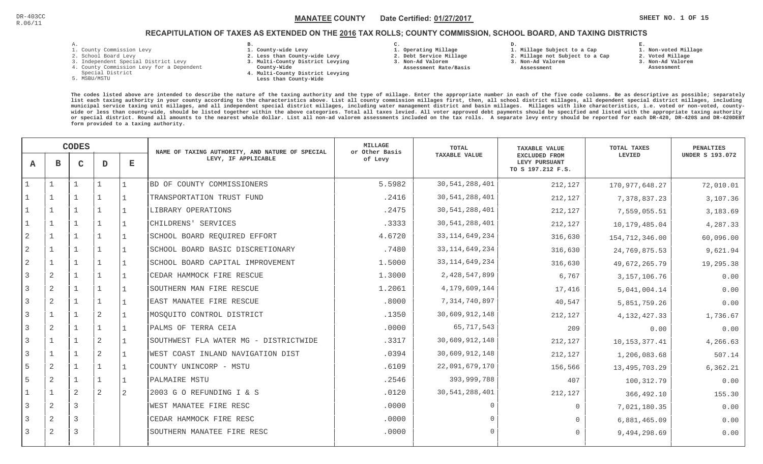**1. Non-voted Millage**

# RECAPITULATION OF TAXES AS EXTENDED ON THE <u>2016</u> TAX ROLLS; COUNTY COMMISSION, SCHOOL BOARD, AND TAXING DISTRICTS

| л. |   |  |  |
|----|---|--|--|
|    | ۰ |  |  |

- 1. County Commission Levy
- 2. School Board Levy
- 3. Independent Special District Levy
- 4. County Commission Levy for a Dependent
- Special District
- 5. MSBU/MSTU
- **B. 1. County-wide Levy**
- **2. Less than County-wide Levy**
- **3. Multi-County District Levying**
- **County-Wide** 
	- **4. Multi-County District Levying Less than County-Wide**

**C. 1. Operating Millage** 

**3. Non-Ad Valorem Assessment Rate/Basis**

- **2. Debt Service Millage** 
	-

**D.** 

- **3. Non-Ad Valorem**
	- **Assessment**

**1. Millage Subject to a Cap**

- **2. Millage not Subject to a Cap**
	-
- **2. Voted Millage 3. Non-Ad Valorem Assessment**

**E.**

|                | <b>CODES</b>   |                |                | NAME OF TAXING AUTHORITY, AND NATURE OF SPECIAL | <b>MILLAGE</b><br>or Other Basis      | TOTAL   | <b>TAXABLE VALUE</b> | TOTAL TAXES                                                | PENALTIES        |                        |
|----------------|----------------|----------------|----------------|-------------------------------------------------|---------------------------------------|---------|----------------------|------------------------------------------------------------|------------------|------------------------|
| $\mathbf{A}$   | в              | $\mathsf{C}$   | D              | $\mathbf E$                                     | LEVY, IF APPLICABLE                   | of Levy | <b>TAXABLE VALUE</b> | <b>EXCLUDED FROM</b><br>LEVY PURSUANT<br>TO S 197.212 F.S. | LEVIED           | <b>UNDER S 193.072</b> |
|                |                |                |                |                                                 | BD OF COUNTY COMMISSIONERS            | 5.5982  | 30, 541, 288, 401    | 212,127                                                    | 170,977,648.27   | 72,010.01              |
|                |                |                |                |                                                 | TRANSPORTATION TRUST FUND             | .2416   | 30,541,288,401       | 212,127                                                    | 7,378,837.23     | 3,107.36               |
|                |                |                |                |                                                 | LIBRARY OPERATIONS                    | .2475   | 30,541,288,401       | 212,127                                                    | 7,559,055.51     | 3,183.69               |
|                |                |                |                |                                                 | CHILDRENS' SERVICES                   | .3333   | 30,541,288,401       | 212,127                                                    | 10, 179, 485.04  | 4,287.33               |
| $\mathbf{2}$   | $\mathbf 1$    |                |                |                                                 | SCHOOL BOARD REQUIRED EFFORT          | 4.6720  | 33, 114, 649, 234    | 316,630                                                    | 154, 712, 346.00 | 60,096.00              |
| $\overline{2}$ |                |                |                |                                                 | SCHOOL BOARD BASIC DISCRETIONARY      | .7480   | 33, 114, 649, 234    | 316,630                                                    | 24,769,875.53    | 9,621.94               |
| 2              |                |                |                |                                                 | SCHOOL BOARD CAPITAL IMPROVEMENT      | 1.5000  | 33, 114, 649, 234    | 316,630                                                    | 49,672,265.79    | 19,295.38              |
| 3              | $\overline{2}$ |                |                |                                                 | CEDAR HAMMOCK FIRE RESCUE             | 1.3000  | 2,428,547,899        | 6,767                                                      | 3, 157, 106.76   | 0.00                   |
| 3              | 2              |                |                |                                                 | SOUTHERN MAN FIRE RESCUE              | 1.2061  | 4,179,609,144        | 17,416                                                     | 5,041,004.14     | 0.00                   |
| 3              | $\overline{2}$ |                | $\mathbf{1}$   |                                                 | EAST MANATEE FIRE RESCUE              | .8000   | 7,314,740,897        | 40,547                                                     | 5,851,759.26     | 0.00                   |
| 3              | $\mathbf{1}$   |                | 2              |                                                 | MOSQUITO CONTROL DISTRICT             | .1350   | 30,609,912,148       | 212,127                                                    | 4, 132, 427.33   | 1,736.67               |
|                | 2              |                |                |                                                 | PALMS OF TERRA CEIA                   | .0000   | 65,717,543           | 209                                                        | 0.00             | 0.00                   |
| 3              |                |                | $\overline{2}$ |                                                 | SOUTHWEST FLA WATER MG - DISTRICTWIDE | .3317   | 30,609,912,148       | 212,127                                                    | 10, 153, 377. 41 | 4,266.63               |
| 3              |                |                | $\overline{2}$ |                                                 | WEST COAST INLAND NAVIGATION DIST     | .0394   | 30,609,912,148       | 212,127                                                    | 1,206,083.68     | 507.14                 |
| 5              | $\overline{2}$ |                |                |                                                 | COUNTY UNINCORP - MSTU                | .6109   | 22,091,679,170       | 156,566                                                    | 13, 495, 703. 29 | 6, 362.21              |
| 5              | 2              |                |                |                                                 | PALMAIRE MSTU                         | .2546   | 393,999,788          | 407                                                        | 100,312.79       | 0.00                   |
|                | $\mathbf{1}$   | 2              | 2              | 2                                               | 2003 G O REFUNDING I & S              | .0120   | 30,541,288,401       | 212,127                                                    | 366,492.10       | 155.30                 |
| 3              | 2              | $\overline{3}$ |                |                                                 | WEST MANATEE FIRE RESC                | .0000   | $\cap$               | $\Omega$                                                   | 7,021,180.35     | 0.00                   |
|                | 2              | 3              |                |                                                 | CEDAR HAMMOCK FIRE RESC               | .0000   | $\Omega$             | $\Omega$                                                   | 6,881,465.09     | 0.00                   |
| 3              | $\overline{2}$ | 3              |                |                                                 | SOUTHERN MANATEE FIRE RESC            | .0000   | $\Omega$             | $\Omega$                                                   | 9,494,298.69     | 0.00                   |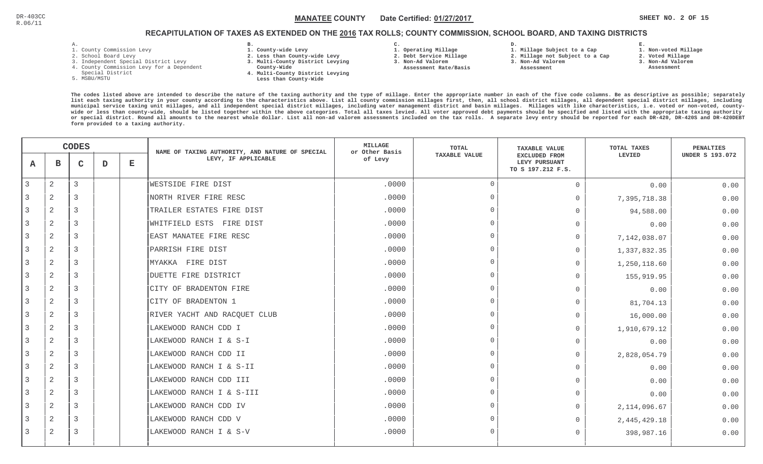**1. Non-voted Millage**

# RECAPITULATION OF TAXES AS EXTENDED ON THE <u>2016</u> TAX ROLLS; COUNTY COMMISSION, SCHOOL BOARD, AND TAXING DISTRICTS

- 1. County Commission Levy
- 2. School Board Levy
- 3. Independent Special District Levy
- 4. County Commission Levy for a Dependent
- Special District
- 5. MSBU/MSTU
- **B. 1. County-wide Levy**
- **2. Less than County-wide Levy**
- **3. Multi-County District Levying**
- **County-Wide** 
	- **4. Multi-County District Levying Less than County-Wide**

**C.** 

**3. Non-Ad Valorem Assessment Rate/Basis**

- **1. Operating Millage 2. Debt Service Millage**
- **1. Millage Subject to a Cap**

**D.** 

- **2. Millage not Subject to a Cap3. Non-Ad Valorem**
- **Assessment**
- 
- **3. Non-Ad Valorem**

**E.**

**2. Voted Millage Assessment**

|                |                | <b>CODES</b> |   |              | NAME OF TAXING AUTHORITY, AND NATURE OF SPECIAL | <b>MILLAGE</b><br>or Other Basis | TOTAL                | <b>TAXABLE VALUE</b>                                       | TOTAL TAXES    | PENALTIES              |
|----------------|----------------|--------------|---|--------------|-------------------------------------------------|----------------------------------|----------------------|------------------------------------------------------------|----------------|------------------------|
| A              | $\mathbf{B}$   | $\mathsf{C}$ | D | $\mathbf{E}$ | LEVY, IF APPLICABLE                             | of Levy                          | <b>TAXABLE VALUE</b> | <b>EXCLUDED FROM</b><br>LEVY PURSUANT<br>TO S 197.212 F.S. | LEVIED         | <b>UNDER S 193.072</b> |
| $\overline{3}$ | 2              | 3            |   |              | <b>WESTSIDE FIRE DIST</b>                       | .0000                            | $\Omega$             | $\mathbf 0$                                                | 0.00           | 0.00                   |
|                | 2              | 3            |   |              | NORTH RIVER FIRE RESC                           | .0000                            | $\Omega$             | $\Omega$                                                   | 7,395,718.38   | 0.00                   |
| 3              | 2              | 3            |   |              | TRAILER ESTATES FIRE DIST                       | .0000                            | $\Omega$             | $\Omega$                                                   | 94,588.00      | 0.00                   |
| 3              | $\overline{2}$ | 3            |   |              | WHITFIELD ESTS FIRE DIST                        | .0000                            | $\Omega$             | $\Omega$                                                   | 0.00           | 0.00                   |
| 3              | $\overline{2}$ | 3            |   |              | EAST MANATEE FIRE RESC                          | .0000                            | $\Omega$             | $\Omega$                                                   | 7,142,038.07   | 0.00                   |
| 3              | 2              | 3            |   |              | PARRISH FIRE DIST                               | .0000                            | $\Omega$             | $\Omega$                                                   | 1,337,832.35   | 0.00                   |
| 3              | 2              | 3            |   |              | MYAKKA FIRE DIST                                | .0000                            | $\Omega$             | $\Omega$                                                   | 1,250,118.60   | 0.00                   |
| 3              | 2              | 3            |   |              | DUETTE FIRE DISTRICT                            | .0000                            | $\Omega$             | $\Omega$                                                   | 155,919.95     | 0.00                   |
| 3              | 2              | 3            |   |              | CITY OF BRADENTON FIRE                          | .0000                            | $\Omega$             | $\Omega$                                                   | 0.00           | 0.00                   |
| 3              | 2              | 3            |   |              | CITY OF BRADENTON 1                             | .0000                            | $\Omega$             | $\Omega$                                                   | 81,704.13      | 0.00                   |
| 3              | 2              | 3            |   |              | RIVER YACHT AND RACQUET CLUB                    | .0000                            | $\Omega$             | $\Omega$                                                   | 16,000.00      | 0.00                   |
| 3              | 2              | 3            |   |              | LAKEWOOD RANCH CDD I                            | .0000                            | $\Omega$             | $\mathbf 0$                                                | 1,910,679.12   | 0.00                   |
| 3              | 2              | 3            |   |              | LAKEWOOD RANCH I & S-I                          | .0000                            | $\Omega$             | $\Omega$                                                   | 0.00           | 0.00                   |
|                | 2              | 3            |   |              | LAKEWOOD RANCH CDD II                           | .0000                            | $\Omega$             | $\Omega$                                                   | 2,828,054.79   | 0.00                   |
| 3              | 2              | 3            |   |              | LAKEWOOD RANCH I & S-II                         | .0000                            | $\Omega$             | $\Omega$                                                   | 0.00           | 0.00                   |
| 3              | 2              | 3            |   |              | LAKEWOOD RANCH CDD III                          | .0000                            | $\Omega$             | $\cap$                                                     | 0.00           | 0.00                   |
| 3              | 2              | 3            |   |              | LAKEWOOD RANCH I & S-III                        | .0000                            | $\Omega$             | $\Omega$                                                   | 0.00           | 0.00                   |
| 3              | 2              | 3            |   |              | LAKEWOOD RANCH CDD IV                           | .0000                            | $\Omega$             | $\Omega$                                                   | 2, 114, 096.67 | 0.00                   |
|                | $\overline{2}$ | 3            |   |              | LAKEWOOD RANCH CDD V                            | .0000                            | $\Omega$             | $\Omega$                                                   | 2,445,429.18   | 0.00                   |
| 3              | 2              | 3            |   |              | LAKEWOOD RANCH I & S-V                          | .0000                            | $\Omega$             | $\Omega$                                                   | 398,987.16     | 0.00                   |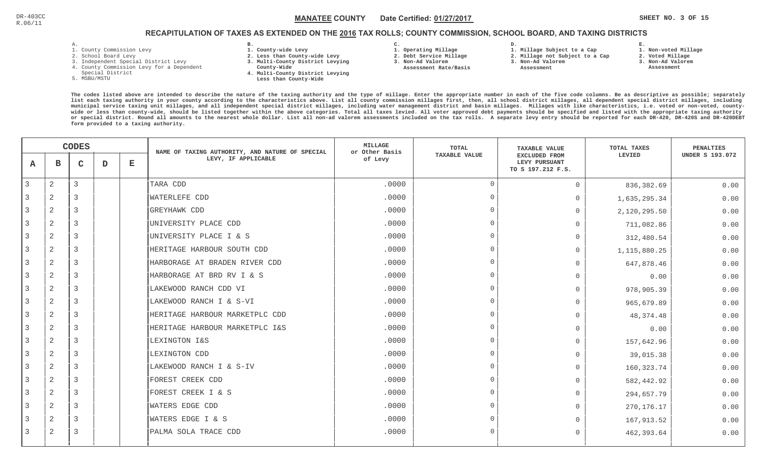# RECAPITULATION OF TAXES AS EXTENDED ON THE <u>2016</u> TAX ROLLS; COUNTY COMMISSION, SCHOOL BOARD, AND TAXING DISTRICTS

- 1. County Commission Levy
- 2. School Board Levy
- 3. Independent Special District Levy
- 4. County Commission Levy for a Dependent
- Special District
- 5. MSBU/MSTU
- **B. 1. County-wide Levy**
- **2. Less than County-wide Levy**
- **3. Multi-County District Levying**
- **County-Wide** 
	- **4. Multi-County District Levying Less than County-Wide**
- **C. 3. Non-Ad Valorem**
- **1. Operating Millage**

**2. Debt Service Millage** 

 **Assessment Rate/Basis**

- **D. 1. Millage Subject to a Cap**
	- **2. Millage not Subject to a Cap**
	- **3. Non-Ad Valorem**
		- **Assessment**

 **1. Non-voted Millage2. Voted Millage**

**E.**

- **3. Non-Ad Valorem**
- **Assessment**
- **The codes listed above are intended to describe the nature of the taxing authority and the type of millage. Enter the appropriate number in each of the five code columns. Be as descriptive as possible; separately list each taxing authority in your county according to the characteristics above. List all county commission millages first, then, all school district millages, all dependent special district millages, including municipal service taxing unit millages, and all independent special district millages, including water management district and basin millages. Millages with like characteristics, i.e. voted or non-voted, countywide or less than county-wide, should be listed together within the above categories. Total all taxes levied. All voter approved debt payments should be specified and listed with the appropriate taxing authority or special district. Round all amounts to the nearest whole dollar. List all non-ad valorem assessments included on the tax rolls. A separate levy entry should be reported for each DR-420, DR-420S and DR-420DEBTform provided to a taxing authority.**

|              | <b>CODES</b>   |              |   | NAME OF TAXING AUTHORITY, AND NATURE OF SPECIAL | MILLAGE<br>or Other Basis      | TOTAL   | <b>TAXABLE VALUE</b> | TOTAL TAXES                                         | <b>PENALTIES</b> |                        |
|--------------|----------------|--------------|---|-------------------------------------------------|--------------------------------|---------|----------------------|-----------------------------------------------------|------------------|------------------------|
| A            | В              | $\mathsf{C}$ | D | $\mathbf{E}$                                    | LEVY, IF APPLICABLE            | of Levy | <b>TAXABLE VALUE</b> | EXCLUDED FROM<br>LEVY PURSUANT<br>TO S 197.212 F.S. | LEVIED           | <b>UNDER S 193.072</b> |
| $\mathbf{3}$ | 2              | 3            |   |                                                 | TARA CDD                       | .0000   | $\overline{0}$       | $\mathbf 0$                                         | 836,382.69       | 0.00                   |
| 3            | 2              | 3            |   |                                                 | <b>WATERLEFE CDD</b>           | .0000   | $\Omega$             | $\mathbf 0$                                         | 1,635,295.34     | 0.00                   |
| 3            | 2              | 3            |   |                                                 | <b>GREYHAWK CDD</b>            | .0000   | $\Omega$             | $\mathbf{0}$                                        | 2,120,295.50     | 0.00                   |
| 3            | $\overline{2}$ | 3            |   |                                                 | UNIVERSITY PLACE CDD           | .0000   | $\Omega$             | $\mathbf{0}$                                        | 711,082.86       | 0.00                   |
| 3            | 2              | 3            |   |                                                 | UNIVERSITY PLACE I & S         | .0000   | $\Omega$             | $\mathbf{0}$                                        | 312,480.54       | 0.00                   |
| 3            | 2              | 3            |   |                                                 | HERITAGE HARBOUR SOUTH CDD     | .0000   | $\overline{0}$       | $\mathbf{0}$                                        | 1,115,880.25     | 0.00                   |
| 3            | $\overline{2}$ | 3            |   |                                                 | HARBORAGE AT BRADEN RIVER CDD  | .0000   | $\overline{0}$       | $\mathbf 0$                                         | 647,878.46       | 0.00                   |
| 3            | 2              | 3            |   |                                                 | HARBORAGE AT BRD RV I & S      | .0000   | $\Omega$             | $\mathbf 0$                                         | 0.00             | 0.00                   |
| 3            | $\overline{2}$ | 3            |   |                                                 | LAKEWOOD RANCH CDD VI          | .0000   | $\Omega$             | $\Omega$                                            | 978,905.39       | 0.00                   |
| 3            | 2              | 3            |   |                                                 | LAKEWOOD RANCH I & S-VI        | .0000   | $\Omega$             | $\mathbf 0$                                         | 965,679.89       | 0.00                   |
| 3            | 2              | 3            |   |                                                 | HERITAGE HARBOUR MARKETPLC CDD | .0000   | $\Omega$             | $\mathbf{0}$                                        | 48, 374. 48      | 0.00                   |
| 3            | 2              | 3            |   |                                                 | HERITAGE HARBOUR MARKETPLC I&S | .0000   | $\Omega$             | $\Omega$                                            | 0.00             | 0.00                   |
| 3            | 2              | 3            |   |                                                 | LEXINGTON I&S                  | .0000   | $\overline{0}$       | $\mathbf{0}$                                        | 157,642.96       | 0.00                   |
| 3            | $\overline{2}$ | 3            |   |                                                 | LEXINGTON CDD                  | .0000   | $\Omega$             | $\Omega$                                            | 39,015.38        | 0.00                   |
| 3            | 2              | 3            |   |                                                 | LAKEWOOD RANCH I & S-IV        | .0000   | $\Omega$             | $\mathbf{0}$                                        | 160, 323.74      | 0.00                   |
| 3            | $\overline{2}$ | 3            |   |                                                 | FOREST CREEK CDD               | .0000   | $\Omega$             | $\mathbf{0}$                                        | 582,442.92       | 0.00                   |
| 3            | 2              | 3            |   |                                                 | FOREST CREEK I & S             | .0000   | $\Omega$             | $\mathbf{0}$                                        | 294,657.79       | 0.00                   |
| 3            | 2              | 3            |   |                                                 | WATERS EDGE CDD                | .0000   | $\Omega$             | $\mathbf{0}$                                        | 270, 176. 17     | 0.00                   |
| 3            | 2              | 3            |   |                                                 | WATERS EDGE I & S              | .0000   | $\Omega$             | $\Omega$                                            | 167,913.52       | 0.00                   |
| 3            | 2              | 3            |   |                                                 | PALMA SOLA TRACE CDD           | .0000   | $\Omega$             | $\Omega$                                            | 462,393.64       | 0.00                   |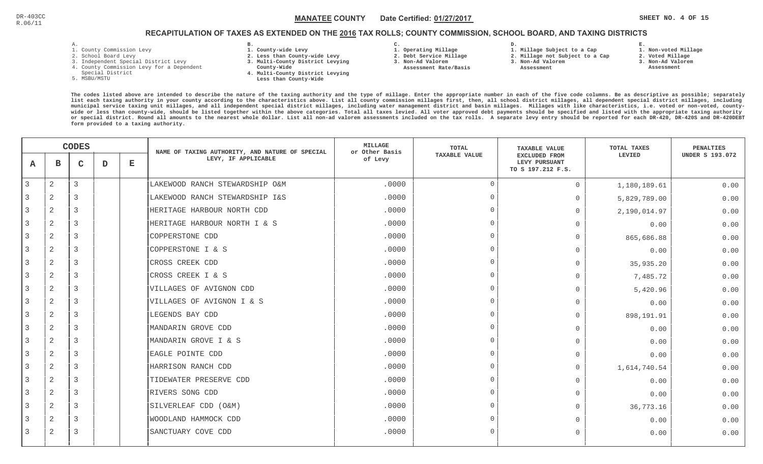# RECAPITULATION OF TAXES AS EXTENDED ON THE <u>2016</u> TAX ROLLS; COUNTY COMMISSION, SCHOOL BOARD, AND TAXING DISTRICTS

- 1. County Commission Levy
- 2. School Board Levy
- 3. Independent Special District Levy
- 4. County Commission Levy for a Dependent
- Special District
- 5. MSBU/MSTU
- **B. 1. County-wide Levy**
- **2. Less than County-wide Levy**
- **3. Multi-County District Levying**
- **County-Wide** 
	- **4. Multi-County District Levying Less than County-Wide**
- **C. 3. Non-Ad Valorem**
- **1. Operating Millage**

**2. Debt Service Millage** 

 **Assessment Rate/Basis**

- **D. 1. Millage Subject to a Cap**
	- **2. Millage not Subject to a Cap**
	- **3. Non-Ad Valorem**
		- **Assessment**

**1. Non-voted Millage**

**E.**

- **2. Voted Millage**
- **3. Non-Ad Valorem**
- **Assessment**

|                |                | <b>CODES</b> |   |   | NAME OF TAXING AUTHORITY, AND NATURE OF SPECIAL | <b>MILLAGE</b><br>or Other Basis | <b>TOTAL</b>         | <b>TAXABLE VALUE</b>                                       | TOTAL TAXES  | <b>PENALTIES</b>       |
|----------------|----------------|--------------|---|---|-------------------------------------------------|----------------------------------|----------------------|------------------------------------------------------------|--------------|------------------------|
| A              | в              | C            | D | Е | LEVY, IF APPLICABLE                             | of Levy                          | <b>TAXABLE VALUE</b> | <b>EXCLUDED FROM</b><br>LEVY PURSUANT<br>TO S 197.212 F.S. | LEVIED       | <b>UNDER S 193.072</b> |
| 3              | $\mathbf{2}$   | 3            |   |   | LAKEWOOD RANCH STEWARDSHIP O&M                  | .0000                            | $\overline{0}$       | $\circ$                                                    | 1,180,189.61 | 0.00                   |
|                | 2              | 3            |   |   | LAKEWOOD RANCH STEWARDSHIP I&S                  | .0000                            | $\Omega$             | 0                                                          | 5,829,789.00 | 0.00                   |
| $\overline{3}$ | 2              | 3            |   |   | HERITAGE HARBOUR NORTH CDD                      | .0000                            | $\Omega$             | $\overline{0}$                                             | 2,190,014.97 | 0.00                   |
| 3              | $\mathbf{2}$   | 3            |   |   | HERITAGE HARBOUR NORTH I & S                    | .0000                            | $\Omega$             | $\Omega$                                                   | 0.00         | 0.00                   |
| 3              | $\overline{2}$ | 3            |   |   | COPPERSTONE CDD                                 | .0000                            | $\Omega$             | $\Omega$                                                   | 865,686.88   | 0.00                   |
| 3              | 2              | 3            |   |   | COPPERSTONE I & S                               | .0000                            | $\Omega$             | $\Omega$                                                   | 0.00         | 0.00                   |
|                | 2              | 3            |   |   | CROSS CREEK CDD                                 | .0000                            | $\Omega$             | $\Omega$                                                   | 35,935.20    | 0.00                   |
| 3              | 2              | 3            |   |   | CROSS CREEK I & S                               | .0000                            | $\overline{0}$       | $\Omega$                                                   | 7,485.72     | 0.00                   |
| 3              | 2              | 3            |   |   | VILLAGES OF AVIGNON CDD                         | .0000                            | $\Omega$             | 0                                                          | 5,420.96     | 0.00                   |
| 3              | 2              | 3            |   |   | VILLAGES OF AVIGNON I & S                       | .0000                            | $\Omega$             | 0                                                          | 0.00         | 0.00                   |
| 3              | 2              | 3            |   |   | LEGENDS BAY CDD                                 | .0000                            | $\overline{0}$       | $\Omega$                                                   | 898,191.91   | 0.00                   |
|                | 2              | 3            |   |   | MANDARIN GROVE CDD                              | .0000                            | $\Omega$             | 0                                                          | 0.00         | 0.00                   |
| 3              | 2              | 3            |   |   | MANDARIN GROVE I & S                            | .0000                            | $\Omega$             | $\Omega$                                                   | 0.00         | 0.00                   |
|                | 2              | 3            |   |   | EAGLE POINTE CDD                                | .0000                            | $\Omega$             | $\Omega$                                                   | 0.00         | 0.00                   |
|                | 2              | 3            |   |   | HARRISON RANCH CDD                              | .0000                            | $\Omega$             | 0                                                          | 1,614,740.54 | 0.00                   |
| 3              | 2              | 3            |   |   | TIDEWATER PRESERVE CDD                          | .0000                            | $\Omega$             | $\Omega$                                                   | 0.00         | 0.00                   |
| 3              | 2              | 3            |   |   | RIVERS SONG CDD                                 | .0000                            | $\Omega$             | $\Omega$                                                   | 0.00         | 0.00                   |
| 3              | 2              | 3            |   |   | SILVERLEAF CDD (O&M)                            | .0000                            | $\Omega$             | 0                                                          | 36,773.16    | 0.00                   |
|                | 2              | 3            |   |   | WOODLAND HAMMOCK CDD                            | .0000                            | $\Omega$             | $\Omega$                                                   | 0.00         | 0.00                   |
| 3              | 2              | 3            |   |   | SANCTUARY COVE CDD                              | .0000                            | $\Omega$             | $\Omega$                                                   | 0.00         | 0.00                   |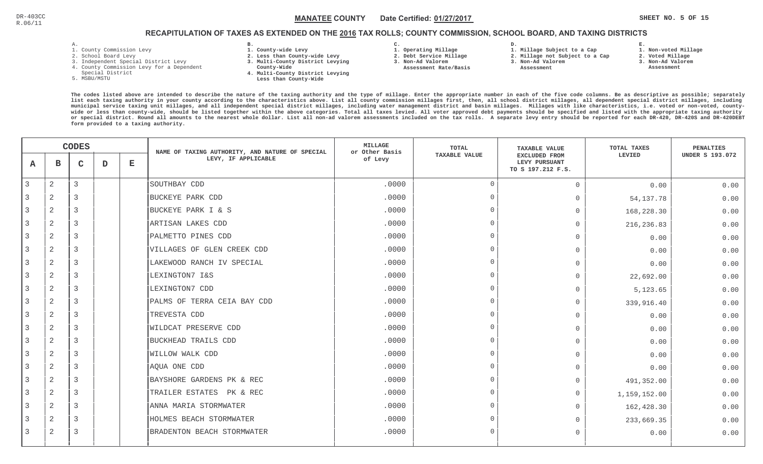# RECAPITULATION OF TAXES AS EXTENDED ON THE <u>2016</u> TAX ROLLS; COUNTY COMMISSION, SCHOOL BOARD, AND TAXING DISTRICTS

- 1. County Commission Levy
- 2. School Board Levy
- 3. Independent Special District Levy
- 4. County Commission Levy for a Dependent
- Special District
- 5. MSBU/MSTU
- **B. 1. County-wide Levy**
- **2. Less than County-wide Levy**
- **3. Multi-County District Levying**
- **County-Wide** 
	- **4. Multi-County District Levying Less than County-Wide**
- **C.**
- **1. Operating Millage**
- **2. Debt Service Millage**
- **3. Non-Ad Valorem**
- **Assessment Rate/Basis**
- **2. Millage not Subject to a Cap**

**D.** 

**3. Non-Ad Valorem Assessment** 

**1. Millage Subject to a Cap**

- 
- **1. Non-voted Millage**

**E.**

- **2. Voted Millage**
- **3. Non-Ad Valorem**
- **Assessment**

|                |                | <b>CODES</b>   |   |   | NAME OF TAXING AUTHORITY, AND NATURE OF SPECIAL | MILLAGE<br>or Other Basis | <b>TOTAL</b>         | <b>TAXABLE VALUE</b>                                | TOTAL TAXES  | PENALTIES              |
|----------------|----------------|----------------|---|---|-------------------------------------------------|---------------------------|----------------------|-----------------------------------------------------|--------------|------------------------|
| A              | в              | $\mathsf{C}$   | D | Е | LEVY, IF APPLICABLE                             | of Levy                   | <b>TAXABLE VALUE</b> | EXCLUDED FROM<br>LEVY PURSUANT<br>TO S 197.212 F.S. | LEVIED       | <b>UNDER S 193.072</b> |
| 3              | $\overline{c}$ | 3              |   |   | SOUTHBAY CDD                                    | .0000                     | $\Omega$             | $\mathbf 0$                                         | 0.00         | 0.00                   |
| 3              | 2              | 3              |   |   | <b>BUCKEYE PARK CDD</b>                         | .0000                     | $\Omega$             | $\mathbf 0$                                         | 54, 137. 78  | 0.00                   |
| 3              | 2              | 3              |   |   | BUCKEYE PARK I & S                              | .0000                     | $\Omega$             | $\mathbf{0}$                                        | 168,228.30   | 0.00                   |
| 3              | $\mathbf{2}$   | $\overline{3}$ |   |   | ARTISAN LAKES CDD                               | .0000                     | $\Omega$             | $\Omega$                                            | 216,236.83   | 0.00                   |
| 3              | $\overline{a}$ | 3              |   |   | PALMETTO PINES CDD                              | .0000                     | $\overline{0}$       | $\Omega$                                            | 0.00         | 0.00                   |
| 3              | 2              | 3              |   |   | VILLAGES OF GLEN CREEK CDD                      | .0000                     | $\Omega$             | $\mathbf{0}$                                        | 0.00         | 0.00                   |
| 3              | 2              | 3              |   |   | LAKEWOOD RANCH IV SPECIAL                       | .0000                     | $\Omega$             | $\mathbf 0$                                         | 0.00         | 0.00                   |
| 3              | $\overline{2}$ | 3              |   |   | LEXINGTON7 I&S                                  | .0000                     | $\Omega$             | $\mathbf{0}$                                        | 22,692.00    | 0.00                   |
| 3              | 2              | 3              |   |   | LEXINGTON7 CDD                                  | .0000                     | $\Omega$             | $\Omega$                                            | 5, 123.65    | 0.00                   |
| $\overline{3}$ | 2              | 3              |   |   | PALMS OF TERRA CEIA BAY CDD                     | .0000                     | $\Omega$             | $\Omega$                                            | 339,916.40   | 0.00                   |
| 3              | 2              | $\overline{3}$ |   |   | TREVESTA CDD                                    | .0000                     | $\Omega$             | $\Omega$                                            | 0.00         | 0.00                   |
|                | 2              | 3              |   |   | <b>WILDCAT PRESERVE CDD</b>                     | .0000                     | $\Omega$             | $\Omega$                                            | 0.00         | 0.00                   |
| 3              | $\overline{c}$ | 3              |   |   | BUCKHEAD TRAILS CDD                             | .0000                     | $\cap$               | $\mathbf 0$                                         | 0.00         | 0.00                   |
| 3              | $\overline{2}$ | $\overline{3}$ |   |   | WILLOW WALK CDD                                 | .0000                     | $\Omega$             | $\overline{0}$                                      | 0.00         | 0.00                   |
| $\overline{3}$ | 2              | 3              |   |   | AQUA ONE CDD                                    | .0000                     | $\Omega$             | $\Omega$                                            | 0.00         | 0.00                   |
| 3              | 2              | 3              |   |   | BAYSHORE GARDENS PK & REC                       | .0000                     | $\Omega$             | $\Omega$                                            | 491,352.00   | 0.00                   |
| 3              | $\overline{2}$ | 3              |   |   | TRAILER ESTATES PK & REC                        | .0000                     | $\Omega$             | $\Omega$                                            | 1,159,152.00 | 0.00                   |
| 3              | 2              | $\overline{3}$ |   |   | ANNA MARIA STORMWATER                           | .0000                     | $\Omega$             | $\mathbf{0}$                                        | 162,428.30   | 0.00                   |
|                | $\overline{2}$ | 3              |   |   | HOLMES BEACH STORMWATER                         | .0000                     | $\Omega$             | $\mathbf 0$                                         | 233,669.35   | 0.00                   |
| 3              | 2              | 3              |   |   | BRADENTON BEACH STORMWATER                      | .0000                     | $\Omega$             | $\mathbf 0$                                         | 0.00         | 0.00                   |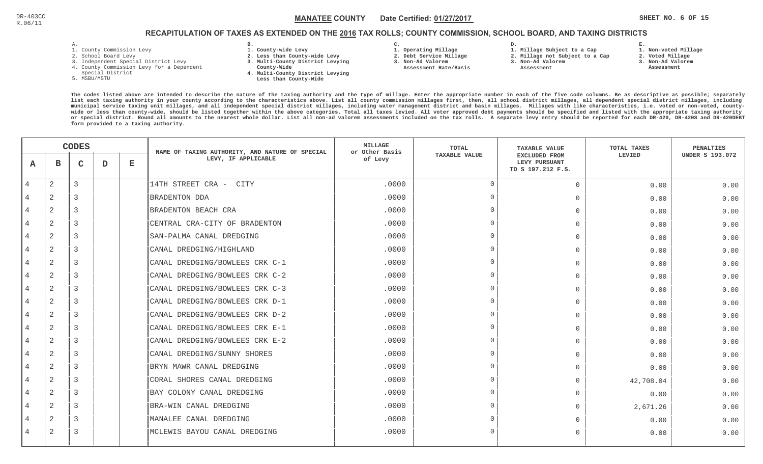# RECAPITULATION OF TAXES AS EXTENDED ON THE <u>2016</u> TAX ROLLS; COUNTY COMMISSION, SCHOOL BOARD, AND TAXING DISTRICTS

- 1. County Commission Levy
- 2. School Board Levy
- 3. Independent Special District Levy
- 4. County Commission Levy for a Dependent
- Special District
- 5. MSBU/MSTU
- **B. 1. County-wide Levy**
- **2. Less than County-wide Levy**
- **3. Multi-County District Levying**
- **County-Wide** 
	- **4. Multi-County District Levying Less than County-Wide**

**C.** 

 **2. Debt Service Millage 3. Non-Ad Valorem Assessment Rate/Basis**

- **1. Operating Millage**
- **1. Millage Subject to a Cap**

**D.** 

- **2. Millage not Subject to a Cap3. Non-Ad Valorem**
	- **Assessment**
- **2. Voted Millage3. Non-Ad Valorem**

**E.**

- **Assessment**
- 

**1. Non-voted Millage**

|                | <b>CODES</b>   |                |   | NAME OF TAXING AUTHORITY, AND NATURE OF SPECIAL | <b>MILLAGE</b><br>or Other Basis | TOTAL   | <b>TAXABLE VALUE</b> | TOTAL TAXES                                                | PENALTIES |                        |
|----------------|----------------|----------------|---|-------------------------------------------------|----------------------------------|---------|----------------------|------------------------------------------------------------|-----------|------------------------|
| A              | <sub>B</sub>   | $\mathbf{C}$   | D | $\mathbf{E}$                                    | LEVY, IF APPLICABLE              | of Levy | <b>TAXABLE VALUE</b> | <b>EXCLUDED FROM</b><br>LEVY PURSUANT<br>TO S 197.212 F.S. | LEVIED    | <b>UNDER S 193.072</b> |
| $\overline{4}$ | 2              | $\mathbf{3}$   |   |                                                 | 14TH STREET CRA -<br>CITY        | .0000   | $\Omega$             | $\Omega$                                                   | 0.00      | 0.00                   |
|                | 2              | 3              |   |                                                 | <b>BRADENTON DDA</b>             | .0000   | $\cap$               | $\Omega$                                                   | 0.00      | 0.00                   |
|                | 2              | 3              |   |                                                 | BRADENTON BEACH CRA              | .0000   |                      | $\Omega$                                                   | 0.00      | 0.00                   |
|                | 2              | $\overline{3}$ |   |                                                 | CENTRAL CRA-CITY OF BRADENTON    | .0000   | $\cap$               | $\Omega$                                                   | 0.00      | 0.00                   |
| $\overline{4}$ | 2              | 3              |   |                                                 | SAN-PALMA CANAL DREDGING         | .0000   | $\cap$               | $\bigcap$                                                  | 0.00      | 0.00                   |
|                | $\overline{2}$ | $\overline{3}$ |   |                                                 | CANAL DREDGING/HIGHLAND          | .0000   | $\Omega$             | $\bigcap$                                                  | 0.00      | 0.00                   |
|                | 2              | $\mathcal{R}$  |   |                                                 | CANAL DREDGING/BOWLEES CRK C-1   | .0000   | $\cap$               | $\cap$                                                     | 0.00      | 0.00                   |
|                | 2              | 3              |   |                                                 | CANAL DREDGING/BOWLEES CRK C-2   | .0000   |                      | $\Omega$                                                   | 0.00      | 0.00                   |
|                | 2              | 3              |   |                                                 | CANAL DREDGING/BOWLEES CRK C-3   | .0000   |                      | $\Omega$                                                   | 0.00      | 0.00                   |
|                | 2              | 3              |   |                                                 | CANAL DREDGING/BOWLEES CRK D-1   | .0000   |                      | $\Omega$                                                   | 0.00      | 0.00                   |
|                | 2              | $\overline{3}$ |   |                                                 | CANAL DREDGING/BOWLEES CRK D-2   | .0000   | $\cap$               | $\bigcap$                                                  | 0.00      | 0.00                   |
|                | $\overline{2}$ | 3              |   |                                                 | CANAL DREDGING/BOWLEES CRK E-1   | .0000   | $\cap$               | $\bigcap$                                                  | 0.00      | 0.00                   |
|                | 2              | 3              |   |                                                 | CANAL DREDGING/BOWLEES CRK E-2   | .0000   | $\cap$               | $\bigcap$                                                  | 0.00      | 0.00                   |
|                | 2              | 3              |   |                                                 | CANAL DREDGING/SUNNY SHORES      | .0000   |                      | $\bigcap$                                                  | 0.00      | 0.00                   |
|                | 2              | 3              |   |                                                 | BRYN MAWR CANAL DREDGING         | .0000   |                      | $\Omega$                                                   | 0.00      | 0.00                   |
|                | 2              | 3              |   |                                                 | CORAL SHORES CANAL DREDGING      | .0000   |                      | $\Omega$                                                   | 42,708.04 | 0.00                   |
|                | 2              | 3              |   |                                                 | BAY COLONY CANAL DREDGING        | .0000   | $\Omega$             | $\bigcap$                                                  | 0.00      | 0.00                   |
|                | 2              | $\overline{3}$ |   |                                                 | BRA-WIN CANAL DREDGING           | .0000   | $\cap$               | $\bigcap$                                                  | 2,671.26  | 0.00                   |
|                | 2              | 3              |   |                                                 | MANALEE CANAL DREDGING           | .0000   | $\cap$               | $\bigcap$                                                  | 0.00      | 0.00                   |
|                | 2              | 3              |   |                                                 | MCLEWIS BAYOU CANAL DREDGING     | .0000   |                      | $\Omega$                                                   | 0.00      | 0.00                   |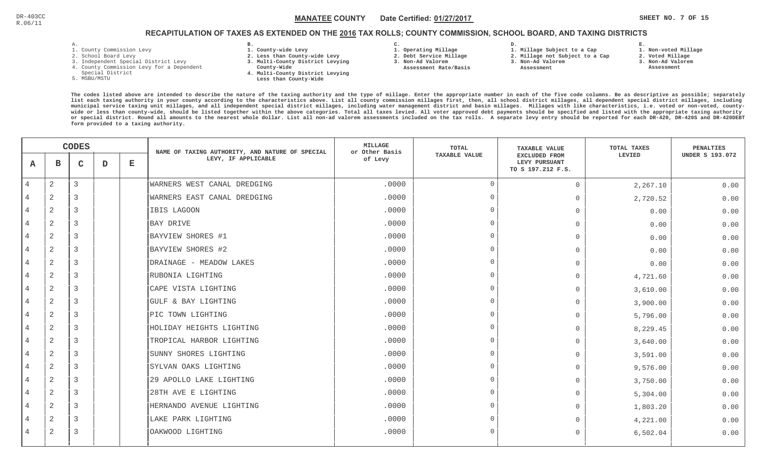# RECAPITULATION OF TAXES AS EXTENDED ON THE <u>2016</u> TAX ROLLS; COUNTY COMMISSION, SCHOOL BOARD, AND TAXING DISTRICTS

- 1. County Commission Levy
- 2. School Board Levy
- 3. Independent Special District Levy
- 4. County Commission Levy for a Dependent
- Special District
- 5. MSBU/MSTU
- **B. 1. County-wide Levy**
- **2. Less than County-wide Levy**
- **3. Multi-County District Levying**
- **County-Wide** 
	- **4. Multi-County District Levying Less than County-Wide**
- **C.**
- **1. Operating Millage**
- **2. Debt Service Millage**
- **3. Non-Ad Valorem**
- **Assessment Rate/Basis**
- **2. Millage not Subject to a Cap**

**D.** 

- **1. Millage Subject to a Cap3. Non-Ad Valorem**
	- **Assessment**
- **E.2. Voted Millage**
	- **3. Non-Ad Valorem Assessment**
		-

**1. Non-voted Millage**

|   | <b>CODES</b>   |             |   | NAME OF TAXING AUTHORITY, AND NATURE OF SPECIAL | <b>MILLAGE</b><br>or Other Basis | <b>TOTAL</b> | <b>TAXABLE VALUE</b> | TOTAL TAXES                                                | <b>PENALTIES</b> |                        |
|---|----------------|-------------|---|-------------------------------------------------|----------------------------------|--------------|----------------------|------------------------------------------------------------|------------------|------------------------|
| A | $\mathbf{B}$   | $\mathbf C$ | D | $\mathbf E$                                     | LEVY, IF APPLICABLE              | of Levy      | TAXABLE VALUE        | <b>EXCLUDED FROM</b><br>LEVY PURSUANT<br>TO S 197.212 F.S. | LEVIED           | <b>UNDER S 193.072</b> |
| 4 | 2              | 3           |   |                                                 | WARNERS WEST CANAL DREDGING      | .0000        | $\Omega$             | $\mathbf 0$                                                | 2,267.10         | 0.00                   |
|   | 2              | 3           |   |                                                 | WARNERS EAST CANAL DREDGING      | .0000        | $\Omega$             | $\Omega$                                                   | 2,720.52         | 0.00                   |
| 4 | 2              | 3           |   |                                                 | IBIS LAGOON                      | .0000        | $\cap$               | $\mathbf 0$                                                | 0.00             | 0.00                   |
| 4 | 2              | 3           |   |                                                 | <b>BAY DRIVE</b>                 | .0000        | $\cap$               | $\Omega$                                                   | 0.00             | 0.00                   |
| 4 | $\overline{2}$ | 3           |   |                                                 | BAYVIEW SHORES #1                | .0000        | $\cap$               | $\Omega$                                                   | 0.00             | 0.00                   |
| 4 | $\overline{2}$ | 3           |   |                                                 | BAYVIEW SHORES #2                | .0000        | $\Omega$             | $\bigcap$                                                  | 0.00             | 0.00                   |
| 4 | 2              | 3           |   |                                                 | DRAINAGE - MEADOW LAKES          | .0000        | $\cap$               | $\Omega$                                                   | 0.00             | 0.00                   |
| 4 | 2              | 3           |   |                                                 | RUBONIA LIGHTING                 | .0000        | $\cap$               | $\mathbf 0$                                                | 4,721.60         | 0.00                   |
|   | 2              | 3           |   |                                                 | CAPE VISTA LIGHTING              | .0000        | $\cap$               | $\mathbf 0$                                                | 3,610.00         | 0.00                   |
| 4 | 2              | 3           |   |                                                 | GULF & BAY LIGHTING              | .0000        | $\cap$               | $\Omega$                                                   | 3,900.00         | 0.00                   |
| 4 | 2              | 3           |   |                                                 | PIC TOWN LIGHTING                | .0000        | $\cap$               | $\Omega$                                                   | 5,796.00         | 0.00                   |
| 4 | 2              | 3           |   |                                                 | HOLIDAY HEIGHTS LIGHTING         | .0000        | $\Omega$             | $\Omega$                                                   | 8,229.45         | 0.00                   |
| 4 | 2              | 3           |   |                                                 | TROPICAL HARBOR LIGHTING         | .0000        | $\Omega$             | $\bigcap$                                                  | 3,640.00         | 0.00                   |
| 4 | $\mathbf{2}$   | 3           |   |                                                 | SUNNY SHORES LIGHTING            | .0000        | $\cap$               | $\Omega$                                                   | 3,591.00         | 0.00                   |
| 4 | 2              | 3           |   |                                                 | SYLVAN OAKS LIGHTING             | .0000        | $\cap$               | $\mathbf 0$                                                | 9,576.00         | 0.00                   |
|   | 2              | 3           |   |                                                 | 29 APOLLO LAKE LIGHTING          | .0000        | $\cap$               | $\mathbf 0$                                                | 3,750.00         | 0.00                   |
| 4 | 2              | 3           |   |                                                 | 28TH AVE E LIGHTING              | .0000        | $\Omega$             | $\Omega$                                                   | 5,304.00         | 0.00                   |
| 4 | 2              | 3           |   |                                                 | HERNANDO AVENUE LIGHTING         | .0000        | $\cap$               | $\Omega$                                                   | 1,803.20         | 0.00                   |
| 4 | 2              | 3           |   |                                                 | LAKE PARK LIGHTING               | .0000        | $\Omega$             | $\bigcap$                                                  | 4,221.00         | 0.00                   |
| 4 | 2              | 3           |   |                                                 | OAKWOOD LIGHTING                 | .0000        | $\Omega$             | $\Omega$                                                   | 6,502.04         | 0.00                   |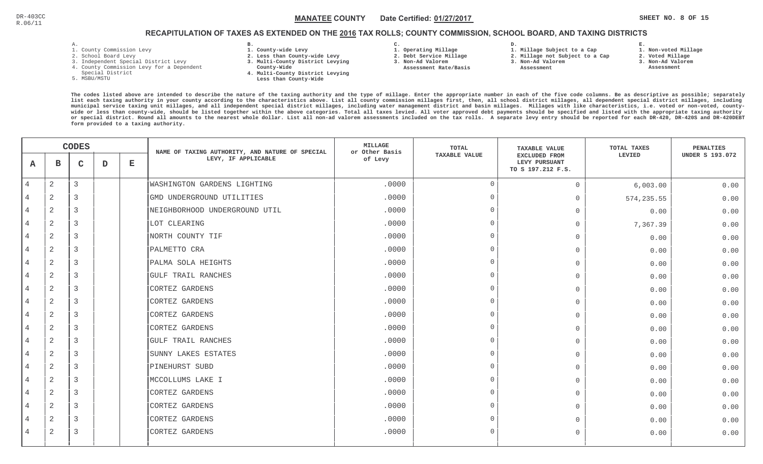**1. Non-voted Millage**

# RECAPITULATION OF TAXES AS EXTENDED ON THE <u>2016</u> TAX ROLLS; COUNTY COMMISSION, SCHOOL BOARD, AND TAXING DISTRICTS

- 1. County Commission Levy
- 2. School Board Levy
- 3. Independent Special District Levy
- 4. County Commission Levy for a Dependent
- Special District
- 5. MSBU/MSTU
- **B. 1. County-wide Levy**
- **2. Less than County-wide Levy**
- **3. Multi-County District Levying**
- **County-Wide** 
	- **4. Multi-County District Levying Less than County-Wide**

**C.** 

**3. Non-Ad Valorem Assessment Rate/Basis**

- **1. Operating Millage 2. Debt Service Millage**
- **1. Millage Subject to a Cap**

**D.** 

- **2. Millage not Subject to a Cap3. Non-Ad Valorem**
	- **Assessment**
- 
- **3. Non-Ad Valorem**

**E.**

**2. Voted Millage Assessment**

|                | <b>CODES</b>   |              |   | NAME OF TAXING AUTHORITY, AND NATURE OF SPECIAL | MILLAGE<br>or Other Basis     | TOTAL   | <b>TAXABLE VALUE</b> | TOTAL TAXES                                                | PENALTIES   |                        |
|----------------|----------------|--------------|---|-------------------------------------------------|-------------------------------|---------|----------------------|------------------------------------------------------------|-------------|------------------------|
| A              | в              | $\mathbf{C}$ | D | $\mathbf E$                                     | LEVY, IF APPLICABLE           | of Levy | <b>TAXABLE VALUE</b> | <b>EXCLUDED FROM</b><br>LEVY PURSUANT<br>TO S 197.212 F.S. | LEVIED      | <b>UNDER S 193.072</b> |
| $\overline{4}$ | 2              | 3            |   |                                                 | WASHINGTON GARDENS LIGHTING   | .0000   | $\overline{0}$       | $\mathbf 0$                                                | 6,003.00    | 0.00                   |
|                | $\overline{2}$ | 3            |   |                                                 | GMD UNDERGROUND UTILITIES     | .0000   | $\cap$               | $\mathbf 0$                                                | 574, 235.55 | 0.00                   |
| 4              | $\overline{2}$ | 3            |   |                                                 | NEIGHBORHOOD UNDERGROUND UTIL | .0000   | $\cap$               | $\Omega$                                                   | 0.00        | 0.00                   |
| $\overline{4}$ | 2              | 3            |   |                                                 | LOT CLEARING                  | .0000   | $\cap$               | $\Omega$                                                   | 7,367.39    | 0.00                   |
| $\overline{4}$ | 2              | 3            |   |                                                 | NORTH COUNTY TIF              | .0000   |                      | $\Omega$                                                   | 0.00        | 0.00                   |
| $\overline{4}$ | 2              | 3            |   |                                                 | PALMETTO CRA                  | .0000   | $\cap$               | $\Omega$                                                   | 0.00        | 0.00                   |
| 4              | 2              | 3            |   |                                                 | PALMA SOLA HEIGHTS            | .0000   | $\cap$               | $\Omega$                                                   | 0.00        | 0.00                   |
| 4              | 2              | 3            |   |                                                 | GULF TRAIL RANCHES            | .0000   |                      | $\Omega$                                                   | 0.00        | 0.00                   |
|                | $\overline{2}$ | 3            |   |                                                 | CORTEZ GARDENS                | .0000   |                      | $\Omega$                                                   | 0.00        | 0.00                   |
| 4              | 2              | 3            |   |                                                 | CORTEZ GARDENS                | .0000   |                      | $\Omega$                                                   | 0.00        | 0.00                   |
| $\overline{4}$ | 2              | 3            |   |                                                 | CORTEZ GARDENS                | .0000   |                      | $\Omega$                                                   | 0.00        | 0.00                   |
| $\overline{4}$ | 2              | 3            |   |                                                 | CORTEZ GARDENS                | .0000   |                      | $\Omega$                                                   | 0.00        | 0.00                   |
| $\overline{4}$ | 2              | 3            |   |                                                 | GULF TRAIL RANCHES            | .0000   |                      | $\Omega$                                                   | 0.00        | 0.00                   |
| 4              | 2              | 3            |   |                                                 | SUNNY LAKES ESTATES           | .0000   | $\cap$               | $\Omega$                                                   | 0.00        | 0.00                   |
| 4              | 2              | 3            |   |                                                 | PINEHURST SUBD                | .0000   |                      | $\Omega$                                                   | 0.00        | 0.00                   |
|                | 2              | 3            |   |                                                 | MCCOLLUMS LAKE I              | .0000   |                      | $\Omega$                                                   | 0.00        | 0.00                   |
| 4              | $\overline{2}$ | 3            |   |                                                 | CORTEZ GARDENS                | .0000   |                      | $\Omega$                                                   | 0.00        | 0.00                   |
| 4              | 2              | 3            |   |                                                 | CORTEZ GARDENS                | .0000   | $\cap$               | $\Omega$                                                   | 0.00        | 0.00                   |
| 4              | $\sqrt{2}$     | 3            |   |                                                 | CORTEZ GARDENS                | .0000   |                      | $\Omega$                                                   | 0.00        | 0.00                   |
| 4              | $\overline{2}$ | 3            |   |                                                 | CORTEZ GARDENS                | .0000   | $\Omega$             | $\bigcap$                                                  | 0.00        | 0.00                   |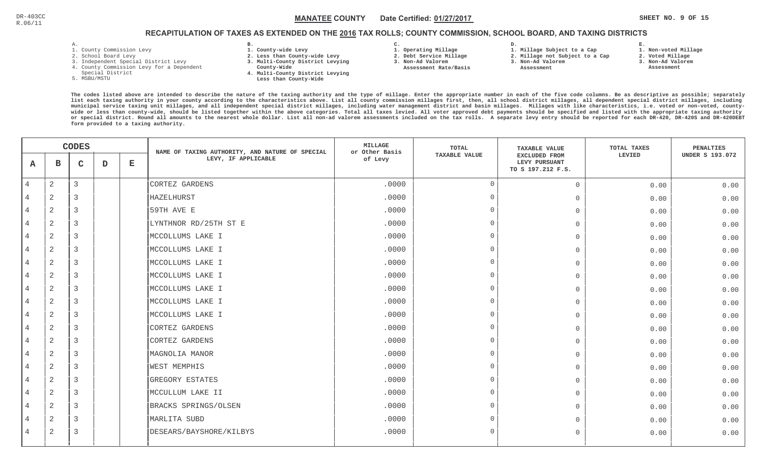**1. Non-voted Millage**

# RECAPITULATION OF TAXES AS EXTENDED ON THE <u>2016</u> TAX ROLLS; COUNTY COMMISSION, SCHOOL BOARD, AND TAXING DISTRICTS

- 1. County Commission Levy
- 2. School Board Levy
- 3. Independent Special District Levy
- 4. County Commission Levy for a Dependent
- Special District
- 5. MSBU/MSTU
- **B. 1. County-wide Levy**
- **2. Less than County-wide Levy**
- **3. Multi-County District Levying**
- **County-Wide** 
	- **4. Multi-County District Levying Less than County-Wide**
- **C.**
- **1. Operating Millage**
- **2. Debt Service Millage 3. Non-Ad Valorem**
- **Assessment Rate/Basis**
- **1. Millage Subject to a Cap2. Millage not Subject to a Cap**

**D.** 

- **3. Non-Ad Valorem**
	- **Assessment**
- 
- **2. Voted Millage 3. Non-Ad Valorem Assessment**

**E.**

|                | <b>CODES</b>   |                |             | NAME OF TAXING AUTHORITY, AND NATURE OF SPECIAL | <b>MILLAGE</b><br>or Other Basis | TOTAL   | <b>TAXABLE VALUE</b> | TOTAL TAXES                                                | PENALTIES |                        |
|----------------|----------------|----------------|-------------|-------------------------------------------------|----------------------------------|---------|----------------------|------------------------------------------------------------|-----------|------------------------|
| A              | $\mathbf B$    | $\mathbf C$    | $\mathbf D$ | $\mathbf{E}$                                    | LEVY, IF APPLICABLE              | of Levy | <b>TAXABLE VALUE</b> | <b>EXCLUDED FROM</b><br>LEVY PURSUANT<br>TO S 197.212 F.S. | LEVIED    | <b>UNDER S 193.072</b> |
| $\overline{4}$ | $\overline{2}$ | $\overline{3}$ |             |                                                 | CORTEZ GARDENS                   | .0000   | $\overline{0}$       | $\circ$                                                    | 0.00      | 0.00                   |
|                | $\overline{2}$ | 3              |             |                                                 | HAZELHURST                       | .0000   | $\Omega$             | $\mathbf 0$                                                | 0.00      | 0.00                   |
| $\overline{4}$ | 2              | 3              |             |                                                 | 59TH AVE E                       | .0000   | $\cap$               | $\mathbf{0}$                                               | 0.00      | 0.00                   |
|                | $\overline{2}$ | 3              |             |                                                 | LYNTHNOR RD/25TH ST E            | .0000   | $\Omega$             | $\overline{0}$                                             | 0.00      | 0.00                   |
| 4              | 2              | 3              |             |                                                 | MCCOLLUMS LAKE I                 | .0000   | $\Omega$             | $\Omega$                                                   | 0.00      | 0.00                   |
| 4              | $\overline{2}$ | 3              |             |                                                 | MCCOLLUMS LAKE I                 | .0000   | $\cap$               | $\mathbf{0}$                                               | 0.00      | 0.00                   |
| 4              | $\overline{2}$ | 3              |             |                                                 | MCCOLLUMS LAKE I                 | .0000   | $\Omega$             | $\mathbf{0}$                                               | 0.00      | 0.00                   |
| 4              | $\overline{2}$ | 3              |             |                                                 | MCCOLLUMS LAKE I                 | .0000   | $\cap$               | $\Omega$                                                   | 0.00      | 0.00                   |
| 4              | $\overline{2}$ | 3              |             |                                                 | MCCOLLUMS LAKE I                 | .0000   | $\cap$               | $\mathbf{0}$                                               | 0.00      | 0.00                   |
| $\overline{4}$ | 2              | 3              |             |                                                 | MCCOLLUMS LAKE I                 | .0000   | $\Omega$             | $\overline{0}$                                             | 0.00      | 0.00                   |
| 4              | 2              | 3              |             |                                                 | MCCOLLUMS LAKE I                 | .0000   | $\cap$               | $\Omega$                                                   | 0.00      | 0.00                   |
| 4              | 2              | 3              |             |                                                 | CORTEZ GARDENS                   | .0000   | $\Omega$             | $\Omega$                                                   | 0.00      | 0.00                   |
| 4              | 2              | 3              |             |                                                 | CORTEZ GARDENS                   | .0000   | $\Omega$             | $\mathbf{0}$                                               | 0.00      | 0.00                   |
|                | $\overline{2}$ | 3              |             |                                                 | MAGNOLIA MANOR                   | .0000   | $\Omega$             | $\mathbf 0$                                                | 0.00      | 0.00                   |
| 4              | 2              | 3              |             |                                                 | <b>WEST MEMPHIS</b>              | .0000   | $\Omega$             | $\Omega$                                                   | 0.00      | 0.00                   |
|                | $\overline{2}$ | 3              |             |                                                 | GREGORY ESTATES                  | .0000   | $\cap$               | $\mathbf 0$                                                | 0.00      | 0.00                   |
|                | 2              | 3              |             |                                                 | MCCULLUM LAKE II                 | .0000   | $\Omega$             | $\circ$                                                    | 0.00      | 0.00                   |
| 4              | 2              | 3              |             |                                                 | BRACKS SPRINGS/OLSEN             | .0000   | $\cap$               | $\Omega$                                                   | 0.00      | 0.00                   |
| 4              | $\overline{2}$ | 3              |             |                                                 | MARLITA SUBD                     | .0000   | $\cap$               | $\mathbf{0}$                                               | 0.00      | 0.00                   |
| 4              | $\overline{2}$ | 3              |             |                                                 | DESEARS/BAYSHORE/KILBYS          | .0000   | $\Omega$             | $\Omega$                                                   | 0.00      | 0.00                   |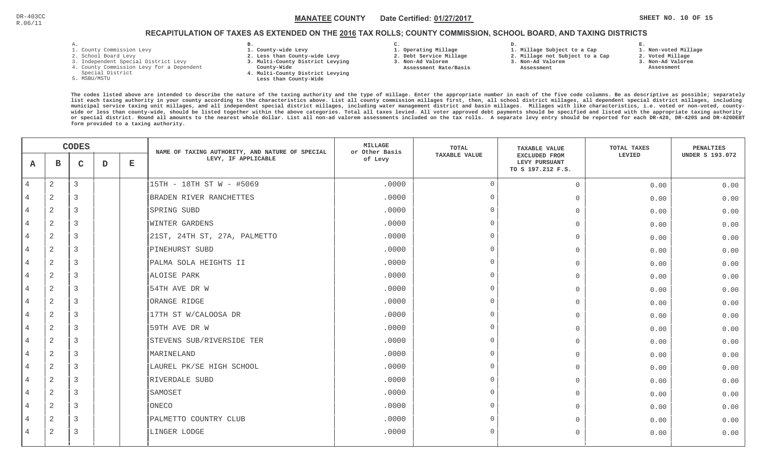### RECAPITULATION OF TAXES AS EXTENDED ON THE <u>2016</u> TAX ROLLS; COUNTY COMMISSION, SCHOOL BOARD, AND TAXING DISTRICTS

- 1. County Commission Levy
- 2. School Board Levy
- 3. Independent Special District Levy
- 4. County Commission Levy for a Dependent
- Special District
- 5. MSBU/MSTU
- **B. 1. County-wide Levy**
- **2. Less than County-wide Levy**
- **3. Multi-County District Levying**
- **County-Wide** 
	- **4. Multi-County District Levying Less than County-Wide**

**C.** 

**3. Non-Ad Valorem Assessment Rate/Basis**

- **1. Operating Millage 2. Debt Service Millage**
- **D. 1. Millage Subject to a Cap**
	- **2. Millage not Subject to a Cap3. Non-Ad Valorem**
	- **Assessment**
- 
- **2. Voted Millage 3. Non-Ad Valorem Assessment**

**E.**

**1. Non-voted Millage**

|                | <b>CODES</b>   |              |   | NAME OF TAXING AUTHORITY, AND NATURE OF SPECIAL | MILLAGE<br>or Other Basis    | TOTAL   | <b>TAXABLE VALUE</b> | TOTAL TAXES                                                | PENALTIES |                        |
|----------------|----------------|--------------|---|-------------------------------------------------|------------------------------|---------|----------------------|------------------------------------------------------------|-----------|------------------------|
| A              | в              | $\mathsf{C}$ | D | $\mathbf E$                                     | LEVY, IF APPLICABLE          | of Levy | <b>TAXABLE VALUE</b> | <b>EXCLUDED FROM</b><br>LEVY PURSUANT<br>TO S 197.212 F.S. | LEVIED    | <b>UNDER S 193.072</b> |
| $\overline{4}$ | 2              | 3            |   |                                                 | 15TH - 18TH ST W - #5069     | .0000   | $\overline{0}$       | $\Omega$                                                   | 0.00      | 0.00                   |
|                | $\overline{2}$ | 3            |   |                                                 | BRADEN RIVER RANCHETTES      | .0000   | $\Omega$             | $\Omega$                                                   | 0.00      | 0.00                   |
| 4              | 2              | 3            |   |                                                 | SPRING SUBD                  | .0000   | - 0                  | $\Omega$                                                   | 0.00      | 0.00                   |
| $\overline{4}$ | 2              | 3            |   |                                                 | <b>WINTER GARDENS</b>        | .0000   | $\Omega$             | $\Omega$                                                   | 0.00      | 0.00                   |
| $\overline{4}$ | 2              | 3            |   |                                                 | 21ST, 24TH ST, 27A, PALMETTO | .0000   | $\cap$               | $\Omega$                                                   | 0.00      | 0.00                   |
| $\overline{4}$ | 2              | 3            |   |                                                 | PINEHURST SUBD               | .0000   | $\Omega$             | $\Omega$                                                   | 0.00      | 0.00                   |
| $\overline{4}$ | 2              | 3            |   |                                                 | PALMA SOLA HEIGHTS II        | .0000   | $\cap$               | $\Omega$                                                   | 0.00      | 0.00                   |
| $\overline{4}$ | 2              | 3            |   |                                                 | ALOISE PARK                  | .0000   | - 0                  | $\Omega$                                                   | 0.00      | 0.00                   |
| 4              | $\overline{2}$ | 3            |   |                                                 | 54TH AVE DR W                | .0000   | $\cap$               | $\Omega$                                                   | 0.00      | 0.00                   |
| $\overline{4}$ | 2              | 3            |   |                                                 | ORANGE RIDGE                 | .0000   | $\Omega$             | $\Omega$                                                   | 0.00      | 0.00                   |
| $\overline{4}$ | 2              | 3            |   |                                                 | 17TH ST W/CALOOSA DR         | .0000   | $\Omega$             | $\Omega$                                                   | 0.00      | 0.00                   |
| $\overline{4}$ | 2              | 3            |   |                                                 | 59TH AVE DR W                | .0000   | $\Omega$             | $\Omega$                                                   | 0.00      | 0.00                   |
| $\overline{4}$ | 2              | 3            |   |                                                 | STEVENS SUB/RIVERSIDE TER    | .0000   | $\Omega$             | $\Omega$                                                   | 0.00      | 0.00                   |
| 4              | 2              | 3            |   |                                                 | MARINELAND                   | .0000   | $\cap$               | $\Omega$                                                   | 0.00      | 0.00                   |
| $\overline{4}$ | 2              | 3            |   |                                                 | LAUREL PK/SE HIGH SCHOOL     | .0000   | - 0                  | $\overline{0}$                                             | 0.00      | 0.00                   |
| 4              | 2              | 3            |   |                                                 | RIVERDALE SUBD               | .0000   | $\cap$               | $\Omega$                                                   | 0.00      | 0.00                   |
| $\overline{4}$ | 2              | 3            |   |                                                 | SAMOSET                      | .0000   | $\Omega$             | $\Omega$                                                   | 0.00      | 0.00                   |
| $\overline{4}$ | 2              | 3            |   |                                                 | ONECO                        | .0000   | $\Omega$             | $\Omega$                                                   | 0.00      | 0.00                   |
|                | 2              | 3            |   |                                                 | PALMETTO COUNTRY CLUB        | .0000   | $\cap$               | 0                                                          | 0.00      | 0.00                   |
| 4              | 2              | 3            |   |                                                 | LINGER LODGE                 | .0000   | $\Omega$             | $\Omega$                                                   | 0.00      | 0.00                   |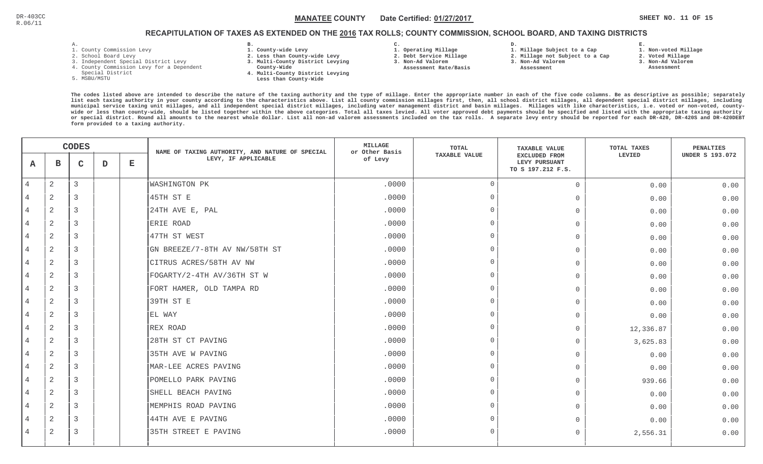#### $\mathbb C$  and the state of the MANATEE COUNTY in Date Certified:  $\underline{01/27/2017}$  and the state of the state of the state of the state of the state of the state of the state of the state of the state of the state of the sta MANATEE CO

### RECAPITULATION OF TAXES AS EXTENDED ON THE <u>2016</u> TAX ROLLS; COUNTY COMMISSION, SCHOOL BOARD, AND TAXING DISTRICTS

- 1. County Commission Levy
- 2. School Board Levy
- 3. Independent Special District Levy
- 4. County Commission Levy for a Dependent
- Special District
- 5. MSBU/MSTU
- **B. 1. County-wide Levy**
- **2. Less than County-wide Levy**
- **3. Multi-County District Levying**
- **County-Wide**
- **4. Multi-County District Levying Less than County-Wide**
- **C.**
- **1. Operating Millage**
- **2. Debt Service Millage 3. Non-Ad Valorem**
- **Assessment Rate/Basis**
- **2. Millage not Subject to a Cap**

**D.** 

- **3. Non-Ad Valorem**
	- **Assessment**

**1. Millage Subject to a Cap**

**2. Voted Millage**

**E.**

- **3. Non-Ad Valorem**
- **Assessment**

**1. Non-voted Millage**

|                | <b>CODES</b>   |              |             | NAME OF TAXING AUTHORITY, AND NATURE OF SPECIAL | MILLAGE<br>or Other Basis     | TOTAL   | <b>TAXABLE VALUE</b> | TOTAL TAXES                                                | PENALTIES |                        |
|----------------|----------------|--------------|-------------|-------------------------------------------------|-------------------------------|---------|----------------------|------------------------------------------------------------|-----------|------------------------|
| A              | в              | $\mathbf{C}$ | $\mathbf D$ | $\mathbf E$                                     | LEVY, IF APPLICABLE           | of Levy | <b>TAXABLE VALUE</b> | <b>EXCLUDED FROM</b><br>LEVY PURSUANT<br>TO S 197.212 F.S. | LEVIED    | <b>UNDER S 193.072</b> |
| $\overline{4}$ | $\overline{a}$ | 3            |             |                                                 | <b>WASHINGTON PK</b>          | .0000   | $\overline{0}$       | $\Omega$                                                   | 0.00      | 0.00                   |
|                | 2              | 3            |             |                                                 | 45TH ST E                     | .0000   | $\Omega$             | $\Omega$                                                   | 0.00      | 0.00                   |
| 4              | 2              | 3            |             |                                                 | 24TH AVE E, PAL               | .0000   | $\Omega$             | $\Omega$                                                   | 0.00      | 0.00                   |
| $\overline{4}$ | 2              | 3            |             |                                                 | ERIE ROAD                     | .0000   | $\Omega$             | $\overline{0}$                                             | 0.00      | 0.00                   |
| $\overline{4}$ | 2              | 3            |             |                                                 | 47TH ST WEST                  | .0000   | $\Omega$             | $\Omega$                                                   | 0.00      | 0.00                   |
| $\overline{4}$ | 2              | 3            |             |                                                 | GN BREEZE/7-8TH AV NW/58TH ST | .0000   | $\Omega$             | $\Omega$                                                   | 0.00      | 0.00                   |
| $\overline{4}$ | 2              | 3            |             |                                                 | CITRUS ACRES/58TH AV NW       | .0000   | $\Omega$             | $\Omega$                                                   | 0.00      | 0.00                   |
| 4              | 2              | 3            |             |                                                 | FOGARTY/2-4TH AV/36TH ST W    | .0000   | - 0                  | $\Omega$                                                   | 0.00      | 0.00                   |
|                | $\overline{2}$ | 3            |             |                                                 | FORT HAMER, OLD TAMPA RD      | .0000   | $\cap$               | $\Omega$                                                   | 0.00      | 0.00                   |
| 4              | 2              | 3            |             |                                                 | 39TH ST E                     | .0000   | $\Omega$             | $\Omega$                                                   | 0.00      | 0.00                   |
| $\overline{4}$ | 2              | 3            |             |                                                 | EL WAY                        | .0000   | $\Omega$             | $\Omega$                                                   | 0.00      | 0.00                   |
| $\overline{4}$ | 2              | 3            |             |                                                 | REX ROAD                      | .0000   | $\Omega$             | $\Omega$                                                   | 12,336.87 | 0.00                   |
| $\overline{4}$ | 2              | 3            |             |                                                 | 28TH ST CT PAVING             | .0000   | $\Omega$             | $\Omega$                                                   | 3,625.83  | 0.00                   |
| $\overline{4}$ | 2              | 3            |             |                                                 | 35TH AVE W PAVING             | .0000   | $\cap$               | $\Omega$                                                   | 0.00      | 0.00                   |
| 4              | 2              | 3            |             |                                                 | MAR-LEE ACRES PAVING          | .0000   | $\cap$               | $\Omega$                                                   | 0.00      | 0.00                   |
|                | $\overline{2}$ | 3            |             |                                                 | POMELLO PARK PAVING           | .0000   | - 0                  | $\Omega$                                                   | 939.66    | 0.00                   |
| 4              | 2              | 3            |             |                                                 | SHELL BEACH PAVING            | .0000   | $\cap$               | $\Omega$                                                   | 0.00      | 0.00                   |
| 4              | 2              | 3            |             |                                                 | MEMPHIS ROAD PAVING           | .0000   | $\Omega$             | $\Omega$                                                   | 0.00      | 0.00                   |
| 4              | 2              | 3            |             |                                                 | 44TH AVE E PAVING             | .0000   | $\Omega$             | 0                                                          | 0.00      | 0.00                   |
| 4              | 2              | 3            |             |                                                 | 35TH STREET E PAVING          | .0000   | $\Omega$             | $\Omega$                                                   | 2,556.31  | 0.00                   |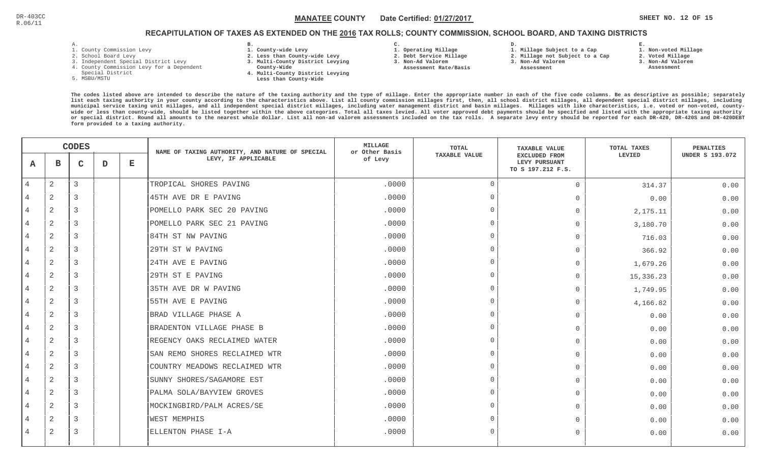### RECAPITULATION OF TAXES AS EXTENDED ON THE <u>2016</u> TAX ROLLS; COUNTY COMMISSION, SCHOOL BOARD, AND TAXING DISTRICTS

- 1. County Commission Levy
- 2. School Board Levy
- 3. Independent Special District Levy
- 4. County Commission Levy for a Dependent
- Special District
- 5. MSBU/MSTU
- **B. 1. County-wide Levy**
- **2. Less than County-wide Levy**
- **3. Multi-County District Levying**
- **County-Wide** 
	- **4. Multi-County District Levying Less than County-Wide**
- **C.**
- **1. Operating Millage**

 **Assessment Rate/Basis**

- **2. Debt Service Millage 3. Non-Ad Valorem**
	-

**D.** 

- **1. Millage Subject to a Cap 2. Millage not Subject to a Cap3. Non-Ad Valorem**
	- **Assessment**
- **2. Voted Millage**

**E.**

- **3. Non-Ad Valorem Assessment**
- 

**1. Non-voted Millage**

|                | <b>CODES</b>   |              |   | NAME OF TAXING AUTHORITY, AND NATURE OF SPECIAL | <b>MILLAGE</b><br>or Other Basis | TOTAL   | <b>TAXABLE VALUE</b> | TOTAL TAXES                                                | PENALTIES |                        |
|----------------|----------------|--------------|---|-------------------------------------------------|----------------------------------|---------|----------------------|------------------------------------------------------------|-----------|------------------------|
| A              | $\mathbf{B}$   | $\mathbf{C}$ | D | $\mathbf E$                                     | LEVY, IF APPLICABLE              | of Levy | <b>TAXABLE VALUE</b> | <b>EXCLUDED FROM</b><br>LEVY PURSUANT<br>TO S 197.212 F.S. | LEVIED    | <b>UNDER S 193.072</b> |
| $\overline{4}$ | 2              | 3            |   |                                                 | TROPICAL SHORES PAVING           | .0000   | $\Omega$             | $\Omega$                                                   | 314.37    | 0.00                   |
|                | 2              | 3            |   |                                                 | 45TH AVE DR E PAVING             | .0000   | $\Omega$             | $\Omega$                                                   | 0.00      | 0.00                   |
| 4              | 2              | 3            |   |                                                 | POMELLO PARK SEC 20 PAVING       | .0000   | $\Omega$             | $\Omega$                                                   | 2,175.11  | 0.00                   |
| $\overline{4}$ | 2              | 3            |   |                                                 | POMELLO PARK SEC 21 PAVING       | .0000   | $\Omega$             | $\Omega$                                                   | 3,180.70  | 0.00                   |
| $\overline{4}$ | 2              | 3            |   |                                                 | 84TH ST NW PAVING                | .0000   | $\Omega$             | $\Omega$                                                   | 716.03    | 0.00                   |
| 4              | 2              | 3            |   |                                                 | 29TH ST W PAVING                 | .0000   | $\Omega$             | $\Omega$                                                   | 366.92    | 0.00                   |
| 4              | 2              | 3            |   |                                                 | 24TH AVE E PAVING                | .0000   | $\Omega$             | $\Omega$                                                   | 1,679.26  | 0.00                   |
| 4              | $\overline{2}$ | 3            |   |                                                 | 29TH ST E PAVING                 | .0000   | - 0                  | $\Omega$                                                   | 15,336.23 | 0.00                   |
| 4              | 2              | 3            |   |                                                 | 35TH AVE DR W PAVING             | .0000   | $\Omega$             | $\Omega$                                                   | 1,749.95  | 0.00                   |
| $\overline{4}$ | 2              | 3            |   |                                                 | 55TH AVE E PAVING                | .0000   | $\Omega$             | $\Omega$                                                   | 4,166.82  | 0.00                   |
| 4              | 2              | 3            |   |                                                 | BRAD VILLAGE PHASE A             | .0000   | $\Omega$             | $\bigcap$                                                  | 0.00      | 0.00                   |
| 4              | $\overline{2}$ | 3            |   |                                                 | BRADENTON VILLAGE PHASE B        | .0000   | $\Omega$             | $\Omega$                                                   | 0.00      | 0.00                   |
| $\overline{4}$ | 2              | 3            |   |                                                 | REGENCY OAKS RECLAIMED WATER     | .0000   | $\Omega$             | $\bigcap$                                                  | 0.00      | 0.00                   |
|                | 2              | 3            |   |                                                 | SAN REMO SHORES RECLAIMED WTR    | .0000   | $\Omega$             | $\bigcap$                                                  | 0.00      | 0.00                   |
| 4              | 2              | 3            |   |                                                 | COUNTRY MEADOWS RECLAIMED WTR    | .0000   | - 0                  | $\Omega$                                                   | 0.00      | 0.00                   |
| 4              | 2              | 3            |   |                                                 | SUNNY SHORES/SAGAMORE EST        | .0000   | $\Omega$             | $\cap$                                                     | 0.00      | 0.00                   |
| $\overline{4}$ | 2              | 3            |   |                                                 | PALMA SOLA/BAYVIEW GROVES        | .0000   | $\cap$               | $\Omega$                                                   | 0.00      | 0.00                   |
| 4              | 2              | 3            |   |                                                 | MOCKINGBIRD/PALM ACRES/SE        | .0000   | $\Omega$             | $\Omega$                                                   | 0.00      | 0.00                   |
| 4              | 2              | 3            |   |                                                 | <b>WEST MEMPHIS</b>              | .0000   | $\Omega$             | $\Omega$                                                   | 0.00      | 0.00                   |
| 4              | 2              | 3            |   |                                                 | ELLENTON PHASE I-A               | .0000   | $\Omega$             | $\Omega$                                                   | 0.00      | 0.00                   |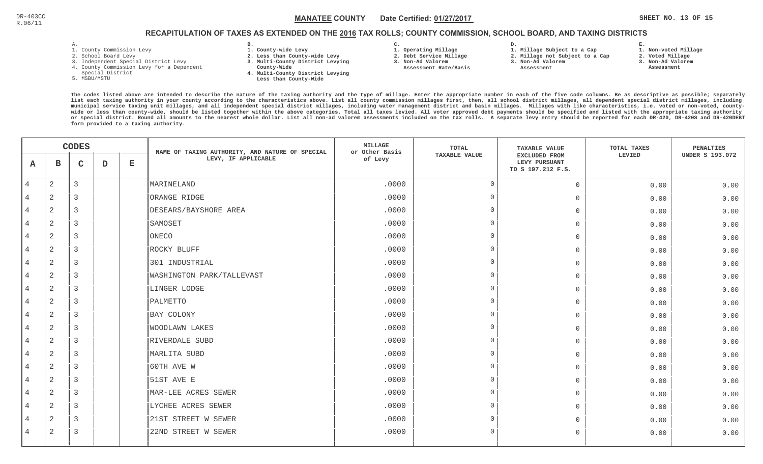#### $\mathbb C$  and the state of the MANATEE COUNTY in Date Certified:  $\underline{01/27/2017}$  and the state of the set  $\mathbb S$  is the set  $\mathbb S$  is the set  $\mathbb S$  of  $\mathbb S$  is the set  $\mathbb S$  of  $\mathbb S$ MANATEE CO

### RECAPITULATION OF TAXES AS EXTENDED ON THE <u>2016</u> TAX ROLLS; COUNTY COMMISSION, SCHOOL BOARD, AND TAXING DISTRICTS

- 1. County Commission Levy
- 2. School Board Levy
- 3. Independent Special District Levy
- 4. County Commission Levy for a Dependent
- Special District
- 5. MSBU/MSTU
- **B. 1. County-wide Levy**
- **2. Less than County-wide Levy**
- **3. Multi-County District Levying**
- **County-Wide** 
	- **4. Multi-County District Levying Less than County-Wide**
- **C.**
- **1. Operating Millage**
- **2. Debt Service Millage 3. Non-Ad Valorem**
- **Assessment Rate/Basis**
- **2. Millage not Subject to a Cap**

**D.** 

**3. Non-Ad Valorem Assessment** 

**1. Millage Subject to a Cap**

- 
- **1. Non-voted Millage2. Voted Millage**

**E.**

- **3. Non-Ad Valorem**
- **Assessment**

|                | <b>CODES</b>   |              |   | NAME OF TAXING AUTHORITY, AND NATURE OF SPECIAL | <b>MILLAGE</b><br>TOTAL<br>or Other Basis |         | <b>TAXABLE VALUE</b> | TOTAL TAXES                                         | PENALTIES |                        |
|----------------|----------------|--------------|---|-------------------------------------------------|-------------------------------------------|---------|----------------------|-----------------------------------------------------|-----------|------------------------|
| A              | $\mathbf B$    | $\mathsf{C}$ | D | $\mathbf E$                                     | LEVY, IF APPLICABLE                       | of Levy | <b>TAXABLE VALUE</b> | EXCLUDED FROM<br>LEVY PURSUANT<br>TO S 197.212 F.S. | LEVIED    | <b>UNDER S 193.072</b> |
| $\overline{4}$ | $\sqrt{2}$     | 3            |   |                                                 | MARINELAND                                | .0000   | $\mathbf 0$          | $\mathbf{0}$                                        | 0.00      | 0.00                   |
| 4              | 2              | 3            |   |                                                 | ORANGE RIDGE                              | .0000   | $\mathbf 0$          | $\mathbf{0}$                                        | 0.00      | 0.00                   |
| $\overline{4}$ | 2              | 3            |   |                                                 | DESEARS/BAYSHORE AREA                     | .0000   | $\Omega$             | $\overline{0}$                                      | 0.00      | 0.00                   |
| 4              | $\sqrt{2}$     | 3            |   |                                                 | SAMOSET                                   | .0000   | $\mathbf{0}$         | $\mathbf{0}$                                        | 0.00      | 0.00                   |
| 4              | 2              | 3            |   |                                                 | ONECO                                     | .0000   | $\Omega$             | $\overline{0}$                                      | 0.00      | 0.00                   |
| $\overline{4}$ | $\sqrt{2}$     | 3            |   |                                                 | ROCKY BLUFF                               | .0000   | $\mathbf{0}$         | $\Omega$                                            | 0.00      | 0.00                   |
| $\overline{4}$ | 2              | 3            |   |                                                 | 301 INDUSTRIAL                            | .0000   | $\mathbf 0$          | $\mathbf{0}$                                        | 0.00      | 0.00                   |
| $\overline{4}$ | 2              | 3            |   |                                                 | WASHINGTON PARK/TALLEVAST                 | .0000   | $\bigcap$            | $\mathbf{0}$                                        | 0.00      | 0.00                   |
| $\overline{4}$ | $\sqrt{2}$     | 3            |   |                                                 | LINGER LODGE                              | .0000   | $\mathbf{0}$         | $\Omega$                                            | 0.00      | 0.00                   |
| 4              | 2              | 3            |   |                                                 | PALMETTO                                  | .0000   | $\Omega$             | $\mathbf{0}$                                        | 0.00      | 0.00                   |
| 4              | $\sqrt{2}$     | 3            |   |                                                 | BAY COLONY                                | .0000   | $\mathbf{0}$         | $\Omega$                                            | 0.00      | 0.00                   |
| $\overline{4}$ | 2              | 3            |   |                                                 | <b>WOODLAWN LAKES</b>                     | .0000   | $\circ$              | $\overline{0}$                                      | 0.00      | 0.00                   |
| $\overline{4}$ | $\sqrt{2}$     | 3            |   |                                                 | RIVERDALE SUBD                            | .0000   | $\Omega$             | $\Omega$                                            | 0.00      | 0.00                   |
| $\overline{4}$ | 2              | 3            |   |                                                 | MARLITA SUBD                              | .0000   | $\mathbf{0}$         | $\Omega$                                            | 0.00      | 0.00                   |
| $\overline{4}$ | 2              | 3            |   |                                                 | 60TH AVE W                                | .0000   | $\bigcap$            | $\mathbf{0}$                                        | 0.00      | 0.00                   |
| 4              | $\overline{2}$ | 3            |   |                                                 | 51ST AVE E                                | .0000   | $\mathbf{0}$         | $\mathbf{0}$                                        | 0.00      | 0.00                   |
| $\overline{4}$ | 2              | 3            |   |                                                 | MAR-LEE ACRES SEWER                       | .0000   | $\mathbf 0$          | $\overline{0}$                                      | 0.00      | 0.00                   |
| 4              | 2              | 3            |   |                                                 | LYCHEE ACRES SEWER                        | .0000   | $\mathbf{0}$         | $\Omega$                                            | 0.00      | 0.00                   |
| $\overline{4}$ | 2              | 3            |   |                                                 | 21ST STREET W SEWER                       | .0000   | $\Omega$             | $\Omega$                                            | 0.00      | 0.00                   |
| 4              | $\overline{2}$ | 3            |   |                                                 | 22ND STREET W SEWER                       | .0000   | $\mathbf 0$          | $\overline{0}$                                      | 0.00      | 0.00                   |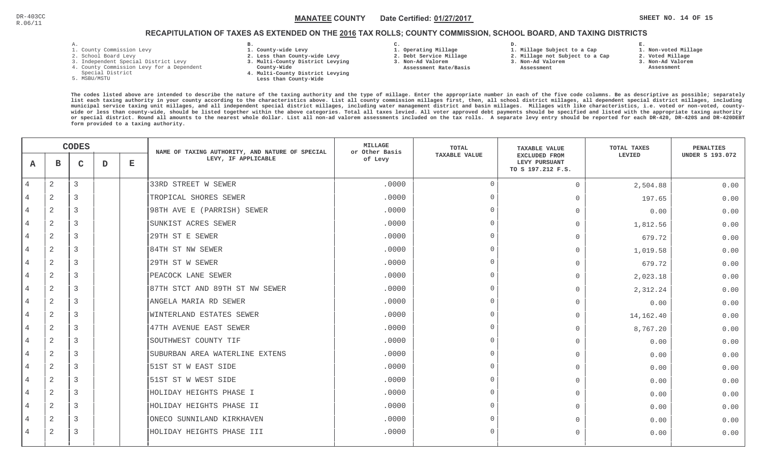#### $\mathbb C$  and the state of the MANATEE COUNTY in Date Certified:  $\underline{01/27/2017}$  and the state of the set  $\mathbb S$  is the set  $\mathbb S$  is the set  $\mathbb S$  of  $\mathbb S$  is the set  $\mathbb S$  of  $\mathbb S$ MANATEE CO

### RECAPITULATION OF TAXES AS EXTENDED ON THE <u>2016</u> TAX ROLLS; COUNTY COMMISSION, SCHOOL BOARD, AND TAXING DISTRICTS

- 1. County Commission Levy
- 2. School Board Levy
- 3. Independent Special District Levy
- 4. County Commission Levy for a Dependent
- Special District
- 5. MSBU/MSTU
- **B. 1. County-wide Levy**
- **2. Less than County-wide Levy**
- **3. Multi-County District Levying**
- **County-Wide** 
	- **4. Multi-County District Levying Less than County-Wide**

**C.** 

 **2. Debt Service Millage 3. Non-Ad Valorem Assessment Rate/Basis**

- **1. Operating Millage**
- **1. Millage Subject to a Cap**

**D.** 

- **2. Millage not Subject to a Cap3. Non-Ad Valorem**
- **Assessment**
- -
- **2. Voted Millage 3. Non-Ad Valorem Assessment**

**1. Non-voted Millage**

**E.**

| <b>CODES</b>   |                |               | NAME OF TAXING AUTHORITY, AND NATURE OF SPECIAL | <b>MILLAGE</b><br>or Other Basis | <b>TOTAL</b>                   | <b>TAXABLE VALUE</b> | <b>TOTAL TAXES</b>   | <b>PENALTIES</b>                                           |           |                        |
|----------------|----------------|---------------|-------------------------------------------------|----------------------------------|--------------------------------|----------------------|----------------------|------------------------------------------------------------|-----------|------------------------|
| A              | в              | C             | D                                               | $\mathbf E$                      | LEVY, IF APPLICABLE            | of Levy              | <b>TAXABLE VALUE</b> | <b>EXCLUDED FROM</b><br>LEVY PURSUANT<br>TO S 197.212 F.S. | LEVIED    | <b>UNDER S 193.072</b> |
| $\overline{4}$ | 2              | 3             |                                                 |                                  | 33RD STREET W SEWER            | .0000                | $\Omega$             | $\Omega$                                                   | 2,504.88  | 0.00                   |
|                | 2              | 3             |                                                 |                                  | TROPICAL SHORES SEWER          | .0000                | $\Omega$             | $\Omega$                                                   | 197.65    | 0.00                   |
|                | $\overline{2}$ | 3             |                                                 |                                  | 98TH AVE E (PARRISH) SEWER     | .0000                | $\cap$               | $\Omega$                                                   | 0.00      | 0.00                   |
| 4              | 2              | 3             |                                                 |                                  | SUNKIST ACRES SEWER            | .0000                | $\cap$               | 0                                                          | 1,812.56  | 0.00                   |
| $\overline{4}$ | $\mathbf{2}$   | 3             |                                                 |                                  | 29TH ST E SEWER                | .0000                | $\cap$               | $\Omega$                                                   | 679.72    | 0.00                   |
| $\overline{4}$ | $\overline{2}$ | 3             |                                                 |                                  | 84TH ST NW SEWER               | .0000                | $\cap$               | $\Omega$                                                   | 1,019.58  | 0.00                   |
|                | $\overline{2}$ | 3             |                                                 |                                  | 29TH ST W SEWER                | .0000                | $\cap$               | $\Omega$                                                   | 679.72    | 0.00                   |
| $\overline{4}$ | $\overline{2}$ | 3             |                                                 |                                  | PEACOCK LANE SEWER             | .0000                |                      | $\Omega$                                                   | 2,023.18  | 0.00                   |
|                | $\overline{2}$ | 3             |                                                 |                                  | 87TH STCT AND 89TH ST NW SEWER | .0000                |                      | $\Omega$                                                   | 2,312.24  | 0.00                   |
| $\overline{4}$ | 2              | 3             |                                                 |                                  | ANGELA MARIA RD SEWER          | .0000                | $\cap$               | $\Omega$                                                   | 0.00      | 0.00                   |
| 4              | 2              | 3             |                                                 |                                  | WINTERLAND ESTATES SEWER       | .0000                | $\Omega$             | $\Omega$                                                   | 14,162.40 | 0.00                   |
| $\overline{4}$ | 2              | 3             |                                                 |                                  | 47TH AVENUE EAST SEWER         | .0000                | $\Omega$             | $\Omega$                                                   | 8,767.20  | 0.00                   |
|                | $\overline{2}$ | 3             |                                                 |                                  | SOUTHWEST COUNTY TIF           | .0000                |                      | $\Omega$                                                   | 0.00      | 0.00                   |
| $\overline{4}$ | 2              | $\mathcal{R}$ |                                                 |                                  | SUBURBAN AREA WATERLINE EXTENS | .0000                | $\cap$               | $\Omega$                                                   | 0.00      | 0.00                   |
|                | $\overline{2}$ | 3             |                                                 |                                  | 51ST ST W EAST SIDE            | .0000                |                      | $\Omega$                                                   | 0.00      | 0.00                   |
| 4              | 2              | 3             |                                                 |                                  | 51ST ST W WEST SIDE            | .0000                | $\cap$               | $\overline{0}$                                             | 0.00      | 0.00                   |
| $\overline{4}$ | $\overline{2}$ | 3             |                                                 |                                  | HOLIDAY HEIGHTS PHASE I        | .0000                | $\cap$               | $\Omega$                                                   | 0.00      | 0.00                   |
| $\overline{4}$ | $\overline{2}$ | 3             |                                                 |                                  | HOLIDAY HEIGHTS PHASE II       | .0000                | $\Omega$             | $\Omega$                                                   | 0.00      | 0.00                   |
|                | $\overline{2}$ | 3             |                                                 |                                  | ONECO SUNNILAND KIRKHAVEN      | .0000                | $\cap$               | $\Omega$                                                   | 0.00      | 0.00                   |
| 4              | 2              | 3             |                                                 |                                  | HOLIDAY HEIGHTS PHASE III      | .0000                |                      | $\Omega$                                                   | 0.00      | 0.00                   |